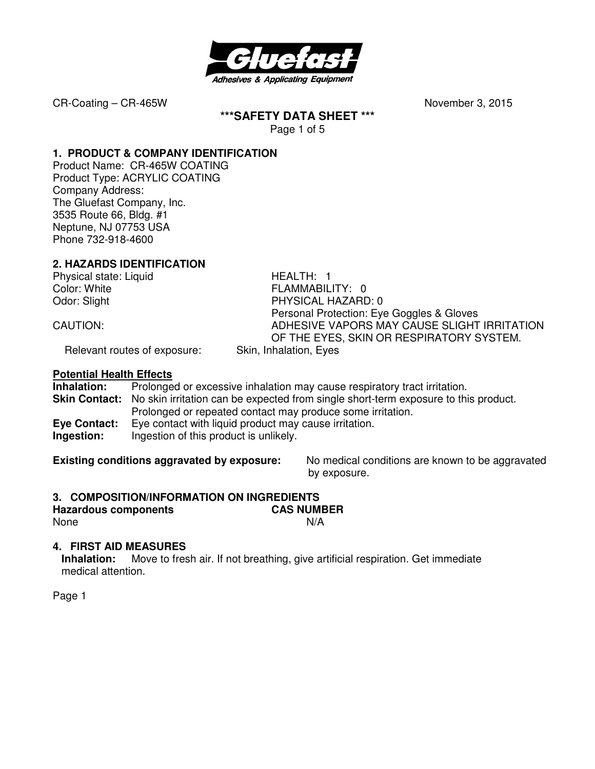

**\*\*\*SAFETY DATA SHEET \*\*\*** 

Page 1 of 5

### **1. PRODUCT & COMPANY IDENTIFICATION**

Product Name: CR-465W COATING Product Type: ACRYLIC COATING Company Address: The Gluefast Company, Inc. 3535 Route 66, Bldg. #1 Neptune, NJ 07753 USA Phone 732-918-4600

# **2. HAZARDS IDENTIFICATION**

Physical state: Liquid HEALTH: 1

Color: White **FLAMMABILITY:** 0 Odor: Slight **PHYSICAL HAZARD: 0**  Personal Protection: Eye Goggles & Gloves CAUTION: ADHESIVE VAPORS MAY CAUSE SLIGHT IRRITATION OF THE EYES, SKIN OR RESPIRATORY SYSTEM.

Relevant routes of exposure: Skin, Inhalation, Eyes

#### **Potential Health Effects**

**Inhalation:** Prolonged or excessive inhalation may cause respiratory tract irritation. **Skin Contact:** No skin irritation can be expected from single short-term exposure to this product. Prolonged or repeated contact may produce some irritation. **Eye Contact:** Eye contact with liquid product may cause irritation. **Ingestion:** Ingestion of this product is unlikely.

**Existing conditions aggravated by exposure:** No medical conditions are known to be aggravated by exposure.

# **3. COMPOSITION/INFORMATION ON INGREDIENTS**

**Hazardous components CAS NUMBER**  None N/A

# **4. FIRST AID MEASURES**

**Inhalation:** Move to fresh air. If not breathing, give artificial respiration. Get immediate medical attention.

Page 1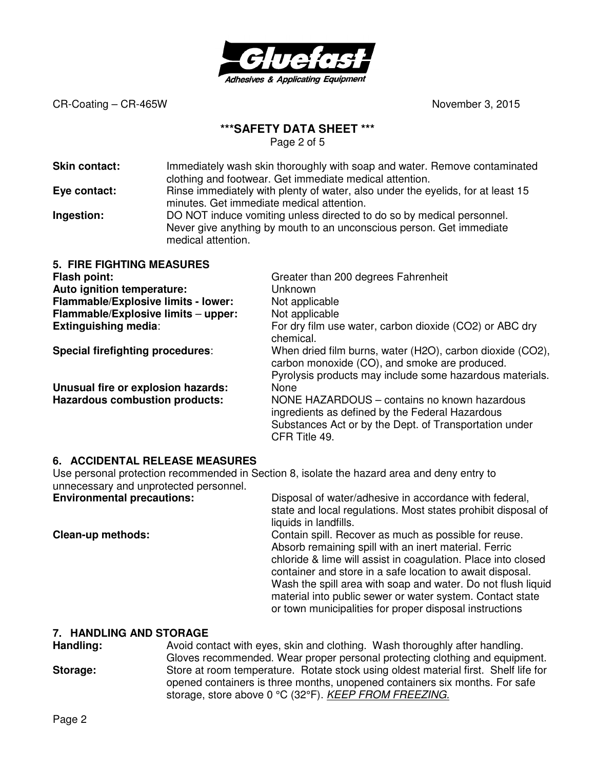

# **\*\*\*SAFETY DATA SHEET \*\*\***

Page 2 of 5

| <b>Skin contact:</b> | Immediately wash skin thoroughly with soap and water. Remove contaminated<br>clothing and footwear. Get immediate medical attention.          |
|----------------------|-----------------------------------------------------------------------------------------------------------------------------------------------|
| Eye contact:         | Rinse immediately with plenty of water, also under the eyelids, for at least 15                                                               |
|                      | minutes. Get immediate medical attention.                                                                                                     |
| Ingestion:           | DO NOT induce vomiting unless directed to do so by medical personnel.<br>Never give anything by mouth to an unconscious person. Get immediate |
|                      | modical attontion                                                                                                                             |

| mculuu ullomuun.                 |                                     |
|----------------------------------|-------------------------------------|
| <b>5. FIRE FIGHTING MEASURES</b> |                                     |
| <b>Flash point:</b>              | Greater than 200 degrees Fahrenheit |
| Auto ignition temperature:       | Unknown                             |

| Auto ignition temperature:            | Unknown                                                                                                                                                                    |
|---------------------------------------|----------------------------------------------------------------------------------------------------------------------------------------------------------------------------|
| Flammable/Explosive limits - lower:   | Not applicable                                                                                                                                                             |
| Flammable/Explosive limits - upper:   | Not applicable                                                                                                                                                             |
| <b>Extinguishing media:</b>           | For dry film use water, carbon dioxide (CO2) or ABC dry<br>chemical.                                                                                                       |
| Special firefighting procedures:      | When dried film burns, water (H2O), carbon dioxide (CO2),<br>carbon monoxide (CO), and smoke are produced.<br>Pyrolysis products may include some hazardous materials.     |
| Unusual fire or explosion hazards:    | None                                                                                                                                                                       |
| <b>Hazardous combustion products:</b> | NONE HAZARDOUS - contains no known hazardous<br>ingredients as defined by the Federal Hazardous<br>Substances Act or by the Dept. of Transportation under<br>CFR Title 49. |

#### **6. ACCIDENTAL RELEASE MEASURES**

Use personal protection recommended in Section 8, isolate the hazard area and deny entry to unnecessary and unprotected personnel.<br>**Environmental precautions:** 

**Environmental precautions:** Disposal of water/adhesive in accordance with federal, state and local regulations. Most states prohibit disposal of liquids in landfills. **Clean-up methods: Contain spill. Recover as much as possible for reuse.** Absorb remaining spill with an inert material. Ferric chloride & lime will assist in coagulation. Place into closed container and store in a safe location to await disposal. Wash the spill area with soap and water. Do not flush liquid material into public sewer or water system. Contact state or town municipalities for proper disposal instructions

#### **7. HANDLING AND STORAGE**

**Handling:** Avoid contact with eyes, skin and clothing. Wash thoroughly after handling. Gloves recommended. Wear proper personal protecting clothing and equipment. **Storage:** Store at room temperature. Rotate stock using oldest material first. Shelf life for opened containers is three months, unopened containers six months. For safe storage, store above 0 °C (32°F). KEEP FROM FREEZING.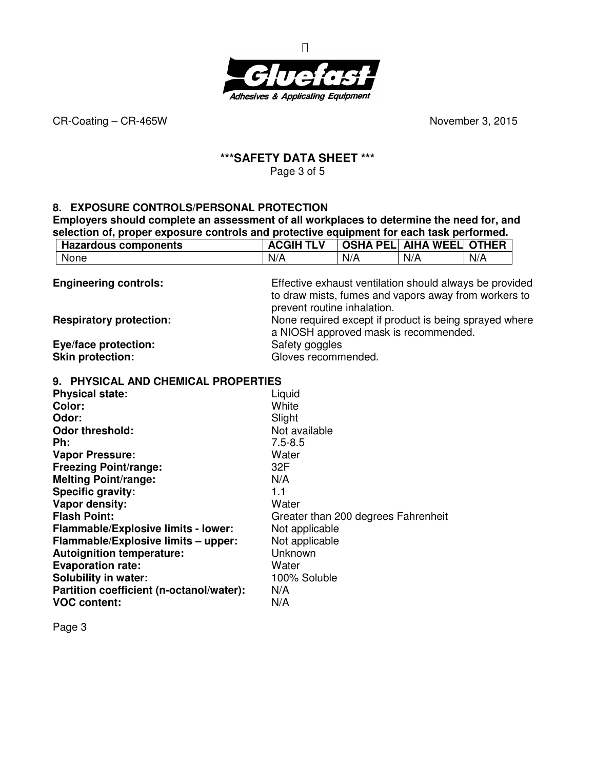

#### **\*\*\*SAFETY DATA SHEET \*\*\***  Page 3 of 5

# **8. EXPOSURE CONTROLS/PERSONAL PROTECTION**

**Employers should complete an assessment of all workplaces to determine the need for, and selection of, proper exposure controls and protective equipment for each task performed.** 

| <b>Hazardous components</b>                | <b>ACGIH TLV</b>    |                                                         | <b>OSHA PEL AIHA WEEL</b> | <b>OTHER</b> |  |
|--------------------------------------------|---------------------|---------------------------------------------------------|---------------------------|--------------|--|
| None                                       | N/A                 | N/A                                                     | N/A                       | N/A          |  |
| <b>Engineering controls:</b>               |                     | Effective exhaust ventilation should always be provided |                           |              |  |
|                                            |                     | to draw mists, fumes and vapors away from workers to    |                           |              |  |
|                                            |                     | prevent routine inhalation.                             |                           |              |  |
| <b>Respiratory protection:</b>             |                     | None required except if product is being sprayed where  |                           |              |  |
|                                            |                     | a NIOSH approved mask is recommended.                   |                           |              |  |
| Eye/face protection:                       | Safety goggles      |                                                         |                           |              |  |
| <b>Skin protection:</b>                    | Gloves recommended. |                                                         |                           |              |  |
| 9. PHYSICAL AND CHEMICAL PROPERTIES        |                     |                                                         |                           |              |  |
| <b>Physical state:</b>                     | Liquid              |                                                         |                           |              |  |
| Color:                                     | White               |                                                         |                           |              |  |
| Odor:                                      | Slight              |                                                         |                           |              |  |
| <b>Odor threshold:</b>                     | Not available       |                                                         |                           |              |  |
| Ph:                                        | $7.5 - 8.5$         |                                                         |                           |              |  |
| <b>Vapor Pressure:</b>                     | Water               |                                                         |                           |              |  |
| <b>Freezing Point/range:</b>               | 32F                 |                                                         |                           |              |  |
| <b>Melting Point/range:</b>                | N/A                 |                                                         |                           |              |  |
| <b>Specific gravity:</b>                   | 1.1                 |                                                         |                           |              |  |
| Vapor density:                             | Water               |                                                         |                           |              |  |
| <b>Flash Point:</b>                        |                     | Greater than 200 degrees Fahrenheit                     |                           |              |  |
| <b>Flammable/Explosive limits - lower:</b> | Not applicable      |                                                         |                           |              |  |
| Flammable/Explosive limits - upper:        | Not applicable      |                                                         |                           |              |  |
| <b>Autoignition temperature:</b>           | Unknown             |                                                         |                           |              |  |
| <b>Evaporation rate:</b>                   | Water               |                                                         |                           |              |  |
| <b>Solubility in water:</b>                | 100% Soluble        |                                                         |                           |              |  |

Page 3

**Solubility in water:** 

**Partition coefficient (n-octanol/water):** N/A **VOC content:** N/A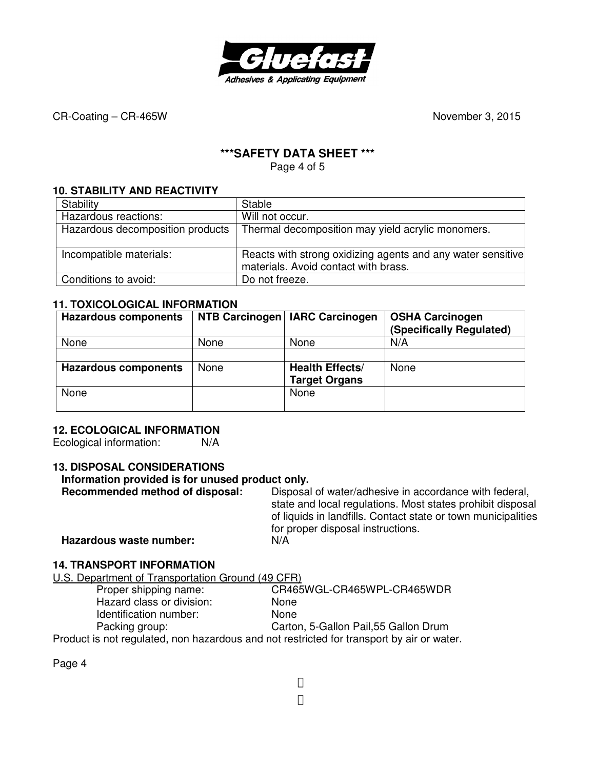

# **\*\*\*SAFETY DATA SHEET \*\*\***

Page 4 of 5

#### **10. STABILITY AND REACTIVITY**

| Stability                        | Stable                                                                                              |
|----------------------------------|-----------------------------------------------------------------------------------------------------|
| Hazardous reactions:             | Will not occur.                                                                                     |
| Hazardous decomposition products | Thermal decomposition may yield acrylic monomers.                                                   |
| Incompatible materials:          | Reacts with strong oxidizing agents and any water sensitive<br>materials. Avoid contact with brass. |
| Conditions to avoid:             | Do not freeze.                                                                                      |

#### **11. TOXICOLOGICAL INFORMATION**

| <b>Hazardous components</b> |      | NTB Carcinogen   IARC Carcinogen | <b>OSHA Carcinogen</b><br>(Specifically Regulated) |
|-----------------------------|------|----------------------------------|----------------------------------------------------|
| None                        | None | None                             | N/A                                                |
|                             |      |                                  |                                                    |
| <b>Hazardous components</b> | None | <b>Health Effects/</b>           | None                                               |
|                             |      | <b>Target Organs</b>             |                                                    |
| None                        |      | None                             |                                                    |
|                             |      |                                  |                                                    |

#### **12. ECOLOGICAL INFORMATION**

Ecological information: N/A

# **13. DISPOSAL CONSIDERATIONS Information provided is for unused product only.**

**Recommended method of disposal:** Disposal of water/adhesive in accordance with federal, state and local regulations. Most states prohibit disposal of liquids in landfills. Contact state or town municipalities for proper disposal instructions. **Hazardous waste number:** N/A

#### **14. TRANSPORT INFORMATION**

U.S. Department of Transportation Ground (49 CFR)

| Proper shipping name:                                                                     | CR465WGL-CR465WPL-CR465WDR            |
|-------------------------------------------------------------------------------------------|---------------------------------------|
| Hazard class or division:                                                                 | <b>None</b>                           |
| Identification number:                                                                    | <b>None</b>                           |
| Packing group:                                                                            | Carton, 5-Gallon Pail, 55 Gallon Drum |
| Product is not requisited, non bezardous and not restricted for transport by air or water |                                       |

Product is not regulated, non hazardous and not restricted for transport by air or water.

Page 4